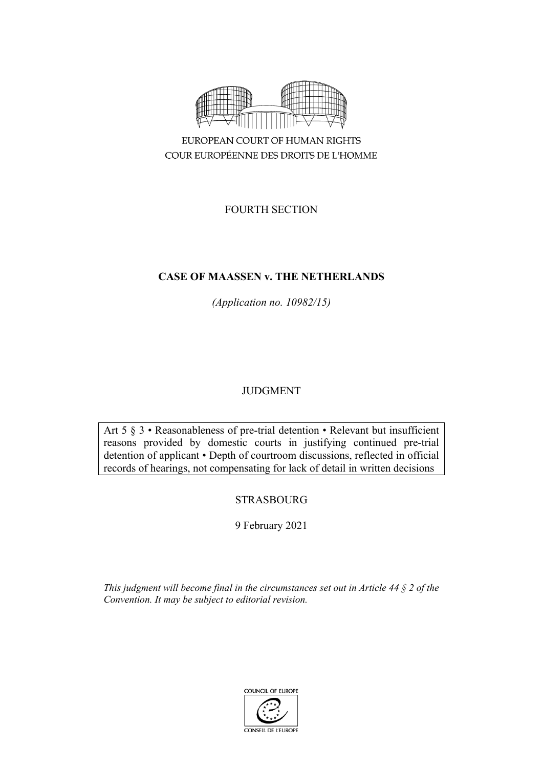

FOURTH SECTION

# **CASE OF MAASSEN v. THE NETHERLANDS**

*(Application no. 10982/15)*

# JUDGMENT

Art 5 § 3 • Reasonableness of pre-trial detention • Relevant but insufficient reasons provided by domestic courts in justifying continued pre-trial detention of applicant • Depth of courtroom discussions, reflected in official records of hearings, not compensating for lack of detail in written decisions

# **STRASBOURG**

9 February 2021

*This judgment will become final in the circumstances set out in Article 44 § 2 of the Convention. It may be subject to editorial revision.*

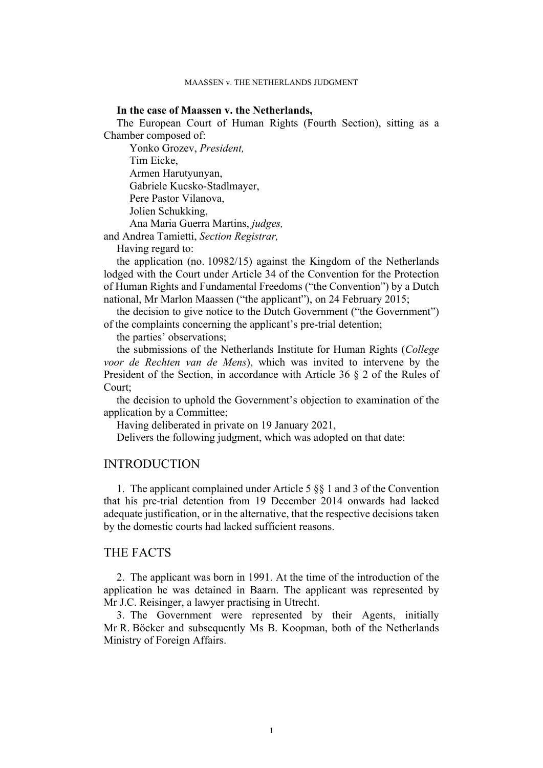## **In the case of Maassen v. the Netherlands,**

The European Court of Human Rights (Fourth Section), sitting as a Chamber composed of:

Yonko Grozev, *President,* Tim Eicke, Armen Harutyunyan, Gabriele Kucsko-Stadlmayer, Pere Pastor Vilanova, Jolien Schukking, Ana Maria Guerra Martins, *judges,*

and Andrea Tamietti, *Section Registrar,*

Having regard to:

the application (no. 10982/15) against the Kingdom of the Netherlands lodged with the Court under Article 34 of the Convention for the Protection of Human Rights and Fundamental Freedoms ("the Convention") by a Dutch national, Mr Marlon Maassen ("the applicant"), on 24 February 2015;

the decision to give notice to the Dutch Government ("the Government") of the complaints concerning the applicant's pre-trial detention;

the parties' observations;

the submissions of the Netherlands Institute for Human Rights (*College voor de Rechten van de Mens*), which was invited to intervene by the President of the Section, in accordance with Article 36 § 2 of the Rules of Court;

the decision to uphold the Government's objection to examination of the application by a Committee;

Having deliberated in private on 19 January 2021,

Delivers the following judgment, which was adopted on that date:

# INTRODUCTION

1. The applicant complained under Article 5 §§ 1 and 3 of the Convention that his pre-trial detention from 19 December 2014 onwards had lacked adequate justification, or in the alternative, that the respective decisions taken by the domestic courts had lacked sufficient reasons.

# THE FACTS

2. The applicant was born in 1991. At the time of the introduction of the application he was detained in Baarn. The applicant was represented by Mr J.C. Reisinger, a lawyer practising in Utrecht.

3. The Government were represented by their Agents, initially Mr R. Böcker and subsequently Ms B. Koopman, both of the Netherlands Ministry of Foreign Affairs.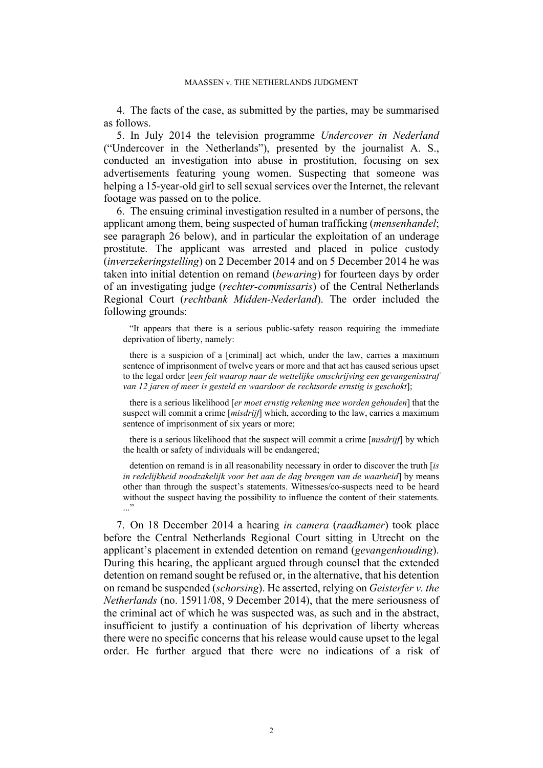4. The facts of the case, as submitted by the parties, may be summarised as follows.

<span id="page-3-1"></span>5. In July 2014 the television programme *Undercover in Nederland* ("Undercover in the Netherlands"), presented by the journalist A. S., conducted an investigation into abuse in prostitution, focusing on sex advertisements featuring young women. Suspecting that someone was helping a 15-year-old girl to sell sexual services over the Internet, the relevant footage was passed on to the police.

<span id="page-3-2"></span>6. The ensuing criminal investigation resulted in a number of persons, the applicant among them, being suspected of human trafficking (*mensenhandel*; see paragraph [26](#page-9-0) below), and in particular the exploitation of an underage prostitute. The applicant was arrested and placed in police custody (*inverzekeringstelling*) on 2 December 2014 and on 5 December 2014 he was taken into initial detention on remand (*bewaring*) for fourteen days by order of an investigating judge (*rechter-commissaris*) of the Central Netherlands Regional Court (*rechtbank Midden-Nederland*). The order included the following grounds:

"It appears that there is a serious public-safety reason requiring the immediate deprivation of liberty, namely:

there is a suspicion of a [criminal] act which, under the law, carries a maximum sentence of imprisonment of twelve years or more and that act has caused serious upset to the legal order [*een feit waarop naar de wettelijke omschrijving een gevangenisstraf van 12 jaren of meer is gesteld en waardoor de rechtsorde ernstig is geschokt*];

there is a serious likelihood [*er moet ernstig rekening mee worden gehouden*] that the suspect will commit a crime [*misdrijf*] which, according to the law, carries a maximum sentence of imprisonment of six years or more;

there is a serious likelihood that the suspect will commit a crime [*misdrijf*] by which the health or safety of individuals will be endangered;

detention on remand is in all reasonability necessary in order to discover the truth [*is in redelijkheid noodzakelijk voor het aan de dag brengen van de waarheid*] by means other than through the suspect's statements. Witnesses/co-suspects need to be heard without the suspect having the possibility to influence the content of their statements. ..."

<span id="page-3-0"></span>7. On 18 December 2014 a hearing *in camera* (*raadkamer*) took place before the Central Netherlands Regional Court sitting in Utrecht on the applicant's placement in extended detention on remand (*gevangenhouding*). During this hearing, the applicant argued through counsel that the extended detention on remand sought be refused or, in the alternative, that his detention on remand be suspended (*schorsing*). He asserted, relying on *Geisterfer v. the Netherlands* (no. 15911/08, 9 December 2014), that the mere seriousness of the criminal act of which he was suspected was, as such and in the abstract, insufficient to justify a continuation of his deprivation of liberty whereas there were no specific concerns that his release would cause upset to the legal order. He further argued that there were no indications of a risk of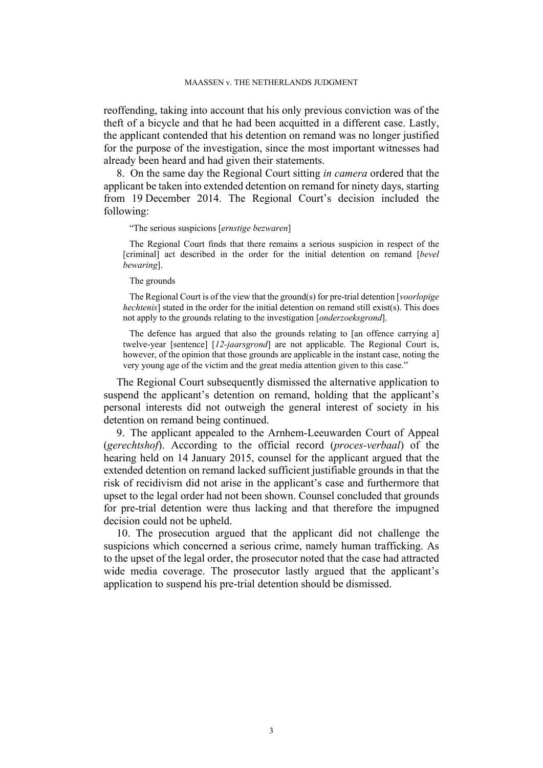reoffending, taking into account that his only previous conviction was of the theft of a bicycle and that he had been acquitted in a different case. Lastly, the applicant contended that his detention on remand was no longer justified for the purpose of the investigation, since the most important witnesses had already been heard and had given their statements.

<span id="page-4-1"></span>8. On the same day the Regional Court sitting *in camera* ordered that the applicant be taken into extended detention on remand for ninety days, starting from 19 December 2014. The Regional Court's decision included the following:

### "The serious suspicions [*ernstige bezwaren*]

The Regional Court finds that there remains a serious suspicion in respect of the [criminal] act described in the order for the initial detention on remand [*bevel bewaring*].

### The grounds

The Regional Court is of the view that the ground(s) for pre-trial detention [*voorlopige hechtenis*] stated in the order for the initial detention on remand still exist(s). This does not apply to the grounds relating to the investigation [*onderzoeksgrond*].

The defence has argued that also the grounds relating to [an offence carrying a] twelve-year [sentence] [*12-jaarsgrond*] are not applicable. The Regional Court is, however, of the opinion that those grounds are applicable in the instant case, noting the very young age of the victim and the great media attention given to this case."

The Regional Court subsequently dismissed the alternative application to suspend the applicant's detention on remand, holding that the applicant's personal interests did not outweigh the general interest of society in his detention on remand being continued.

<span id="page-4-0"></span>9. The applicant appealed to the Arnhem-Leeuwarden Court of Appeal (*gerechtshof*). According to the official record (*proces-verbaal*) of the hearing held on 14 January 2015, counsel for the applicant argued that the extended detention on remand lacked sufficient justifiable grounds in that the risk of recidivism did not arise in the applicant's case and furthermore that upset to the legal order had not been shown. Counsel concluded that grounds for pre-trial detention were thus lacking and that therefore the impugned decision could not be upheld.

10. The prosecution argued that the applicant did not challenge the suspicions which concerned a serious crime, namely human trafficking. As to the upset of the legal order, the prosecutor noted that the case had attracted wide media coverage. The prosecutor lastly argued that the applicant's application to suspend his pre-trial detention should be dismissed.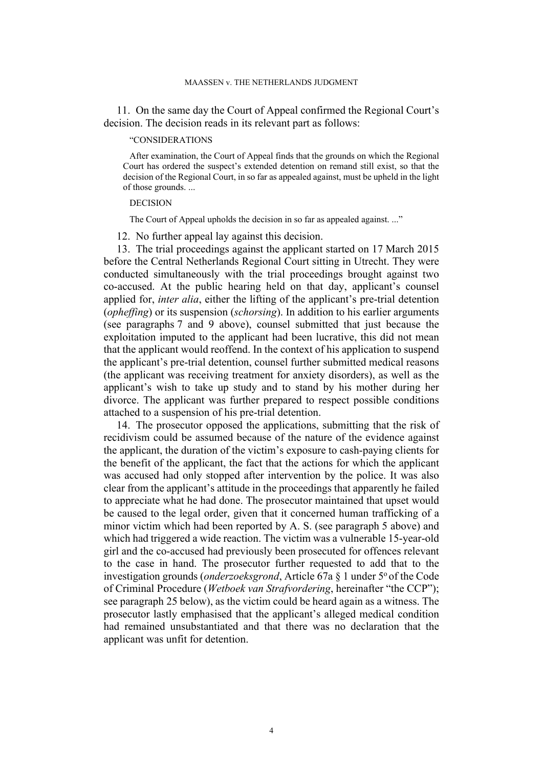<span id="page-5-0"></span>11. On the same day the Court of Appeal confirmed the Regional Court's decision. The decision reads in its relevant part as follows:

## "CONSIDERATIONS

After examination, the Court of Appeal finds that the grounds on which the Regional Court has ordered the suspect's extended detention on remand still exist, so that the decision of the Regional Court, in so far as appealed against, must be upheld in the light of those grounds. ...

### DECISION

The Court of Appeal upholds the decision in so far as appealed against. ..."

12. No further appeal lay against this decision.

13. The trial proceedings against the applicant started on 17 March 2015 before the Central Netherlands Regional Court sitting in Utrecht. They were conducted simultaneously with the trial proceedings brought against two co-accused. At the public hearing held on that day, applicant's counsel applied for, *inter alia*, either the lifting of the applicant's pre-trial detention (*opheffing*) or its suspension (*schorsing*). In addition to his earlier arguments (see paragraphs [7](#page-3-0) and [9](#page-4-0) above), counsel submitted that just because the exploitation imputed to the applicant had been lucrative, this did not mean that the applicant would reoffend. In the context of his application to suspend the applicant's pre-trial detention, counsel further submitted medical reasons (the applicant was receiving treatment for anxiety disorders), as well as the applicant's wish to take up study and to stand by his mother during her divorce. The applicant was further prepared to respect possible conditions attached to a suspension of his pre-trial detention.

14. The prosecutor opposed the applications, submitting that the risk of recidivism could be assumed because of the nature of the evidence against the applicant, the duration of the victim's exposure to cash-paying clients for the benefit of the applicant, the fact that the actions for which the applicant was accused had only stopped after intervention by the police. It was also clear from the applicant's attitude in the proceedings that apparently he failed to appreciate what he had done. The prosecutor maintained that upset would be caused to the legal order, given that it concerned human trafficking of a minor victim which had been reported by A. S. (see paragraph [5](#page-3-1) above) and which had triggered a wide reaction. The victim was a vulnerable 15-year-old girl and the co-accused had previously been prosecuted for offences relevant to the case in hand. The prosecutor further requested to add that to the investigation grounds (*onderzoeksgrond*, Article 67a § 1 under 5<sup>o</sup>of the Code of Criminal Procedure (*Wetboek van Strafvordering*, hereinafter "the CCP"); see paragraph [25](#page-7-0) below), as the victim could be heard again as a witness. The prosecutor lastly emphasised that the applicant's alleged medical condition had remained unsubstantiated and that there was no declaration that the applicant was unfit for detention.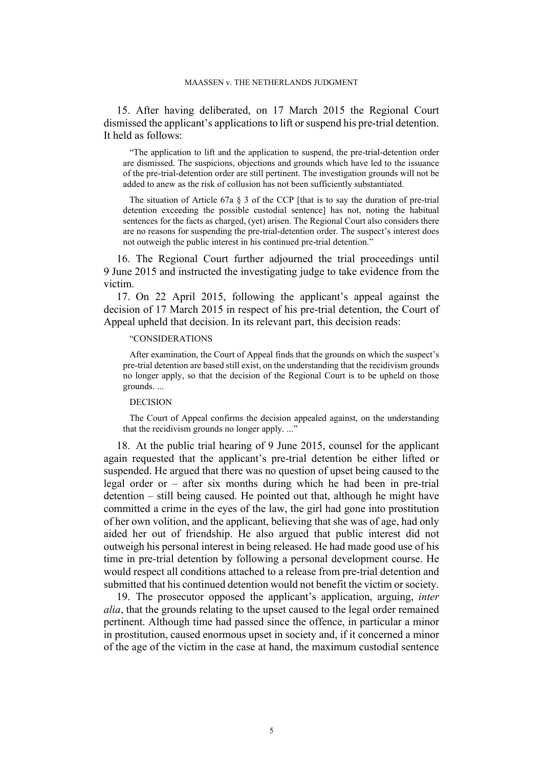<span id="page-6-1"></span>15. After having deliberated, on 17 March 2015 the Regional Court dismissed the applicant's applications to lift or suspend his pre-trial detention. It held as follows:

"The application to lift and the application to suspend, the pre-trial-detention order are dismissed. The suspicions, objections and grounds which have led to the issuance of the pre-trial-detention order are still pertinent. The investigation grounds will not be added to anew as the risk of collusion has not been sufficiently substantiated.

The situation of Article 67a § 3 of the CCP [that is to say the duration of pre-trial detention exceeding the possible custodial sentence] has not, noting the habitual sentences for the facts as charged, (yet) arisen. The Regional Court also considers there are no reasons for suspending the pre-trial-detention order. The suspect's interest does not outweigh the public interest in his continued pre-trial detention."

16. The Regional Court further adjourned the trial proceedings until 9 June 2015 and instructed the investigating judge to take evidence from the victim.

<span id="page-6-2"></span>17. On 22 April 2015, following the applicant's appeal against the decision of 17 March 2015 in respect of his pre-trial detention, the Court of Appeal upheld that decision. In its relevant part, this decision reads:

### "CONSIDERATIONS

After examination, the Court of Appeal finds that the grounds on which the suspect's pre-trial detention are based still exist, on the understanding that the recidivism grounds no longer apply, so that the decision of the Regional Court is to be upheld on those grounds. ...

### DECISION

The Court of Appeal confirms the decision appealed against, on the understanding that the recidivism grounds no longer apply. ..."

<span id="page-6-0"></span>18. At the public trial hearing of 9 June 2015, counsel for the applicant again requested that the applicant's pre-trial detention be either lifted or suspended. He argued that there was no question of upset being caused to the legal order or – after six months during which he had been in pre-trial detention – still being caused. He pointed out that, although he might have committed a crime in the eyes of the law, the girl had gone into prostitution of her own volition, and the applicant, believing that she was of age, had only aided her out of friendship. He also argued that public interest did not outweigh his personal interest in being released. He had made good use of his time in pre-trial detention by following a personal development course. He would respect all conditions attached to a release from pre-trial detention and submitted that his continued detention would not benefit the victim or society.

19. The prosecutor opposed the applicant's application, arguing, *inter alia*, that the grounds relating to the upset caused to the legal order remained pertinent. Although time had passed since the offence, in particular a minor in prostitution, caused enormous upset in society and, if it concerned a minor of the age of the victim in the case at hand, the maximum custodial sentence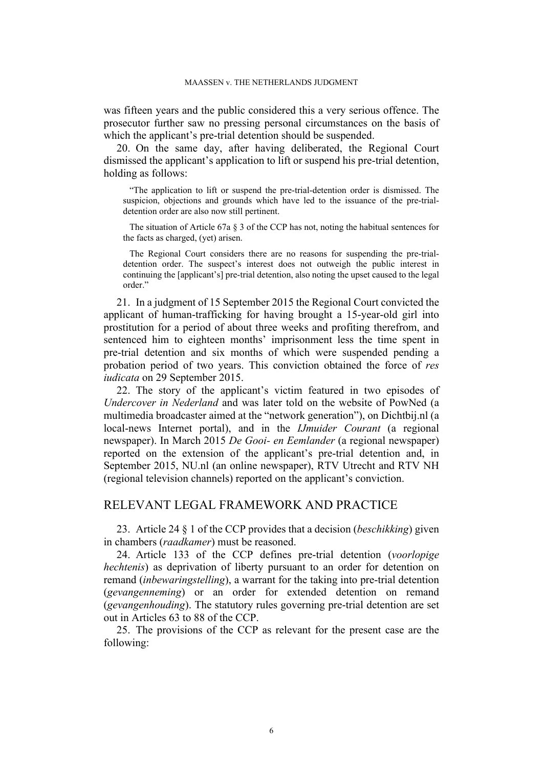was fifteen years and the public considered this a very serious offence. The prosecutor further saw no pressing personal circumstances on the basis of which the applicant's pre-trial detention should be suspended.

<span id="page-7-3"></span>20. On the same day, after having deliberated, the Regional Court dismissed the applicant's application to lift or suspend his pre-trial detention, holding as follows:

"The application to lift or suspend the pre-trial-detention order is dismissed. The suspicion, objections and grounds which have led to the issuance of the pre-trialdetention order are also now still pertinent.

The situation of Article 67a § 3 of the CCP has not, noting the habitual sentences for the facts as charged, (yet) arisen.

The Regional Court considers there are no reasons for suspending the pre-trialdetention order. The suspect's interest does not outweigh the public interest in continuing the [applicant's] pre-trial detention, also noting the upset caused to the legal order."

<span id="page-7-2"></span>21. In a judgment of 15 September 2015 the Regional Court convicted the applicant of human-trafficking for having brought a 15-year-old girl into prostitution for a period of about three weeks and profiting therefrom, and sentenced him to eighteen months' imprisonment less the time spent in pre-trial detention and six months of which were suspended pending a probation period of two years. This conviction obtained the force of *res iudicata* on 29 September 2015.

<span id="page-7-1"></span>22. The story of the applicant's victim featured in two episodes of *Undercover in Nederland* and was later told on the website of PowNed (a multimedia broadcaster aimed at the "network generation"), on Dichtbij.nl (a local-news Internet portal), and in the *IJmuider Courant* (a regional newspaper). In March 2015 *De Gooi- en Eemlander* (a regional newspaper) reported on the extension of the applicant's pre-trial detention and, in September 2015, NU.nl (an online newspaper), RTV Utrecht and RTV NH (regional television channels) reported on the applicant's conviction.

# RELEVANT LEGAL FRAMEWORK AND PRACTICE

<span id="page-7-4"></span>23. Article 24 § 1 of the CCP provides that a decision (*beschikking*) given in chambers (*raadkamer*) must be reasoned.

24. Article 133 of the CCP defines pre-trial detention (*voorlopige hechtenis*) as deprivation of liberty pursuant to an order for detention on remand (*inbewaringstelling*), a warrant for the taking into pre-trial detention (*gevangenneming*) or an order for extended detention on remand (*gevangenhouding*). The statutory rules governing pre-trial detention are set out in Articles 63 to 88 of the CCP.

<span id="page-7-0"></span>25. The provisions of the CCP as relevant for the present case are the following: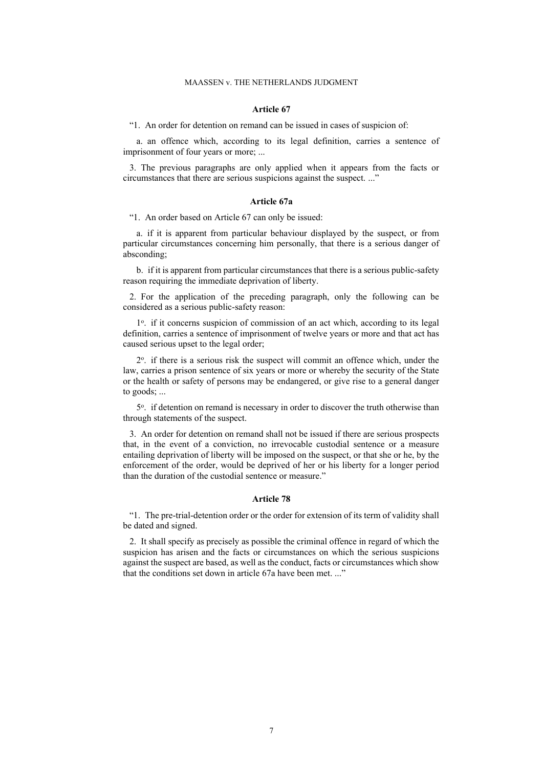#### **Article 67**

"1. An order for detention on remand can be issued in cases of suspicion of:

a. an offence which, according to its legal definition, carries a sentence of imprisonment of four years or more; ...

3. The previous paragraphs are only applied when it appears from the facts or circumstances that there are serious suspicions against the suspect. ..."

#### **Article 67a**

"1. An order based on Article 67 can only be issued:

a. if it is apparent from particular behaviour displayed by the suspect, or from particular circumstances concerning him personally, that there is a serious danger of absconding;

b. if it is apparent from particular circumstances that there is a serious public-safety reason requiring the immediate deprivation of liberty.

2. For the application of the preceding paragraph, only the following can be considered as a serious public-safety reason:

1<sup>o</sup>. if it concerns suspicion of commission of an act which, according to its legal definition, carries a sentence of imprisonment of twelve years or more and that act has caused serious upset to the legal order;

2 o . if there is a serious risk the suspect will commit an offence which, under the law, carries a prison sentence of six years or more or whereby the security of the State or the health or safety of persons may be endangered, or give rise to a general danger to goods; ...

5<sup>o</sup>. if detention on remand is necessary in order to discover the truth otherwise than through statements of the suspect.

3. An order for detention on remand shall not be issued if there are serious prospects that, in the event of a conviction, no irrevocable custodial sentence or a measure entailing deprivation of liberty will be imposed on the suspect, or that she or he, by the enforcement of the order, would be deprived of her or his liberty for a longer period than the duration of the custodial sentence or measure."

### **Article 78**

"1. The pre-trial-detention order or the order for extension of its term of validity shall be dated and signed.

2. It shall specify as precisely as possible the criminal offence in regard of which the suspicion has arisen and the facts or circumstances on which the serious suspicions against the suspect are based, as well as the conduct, facts or circumstances which show that the conditions set down in article 67a have been met. ..."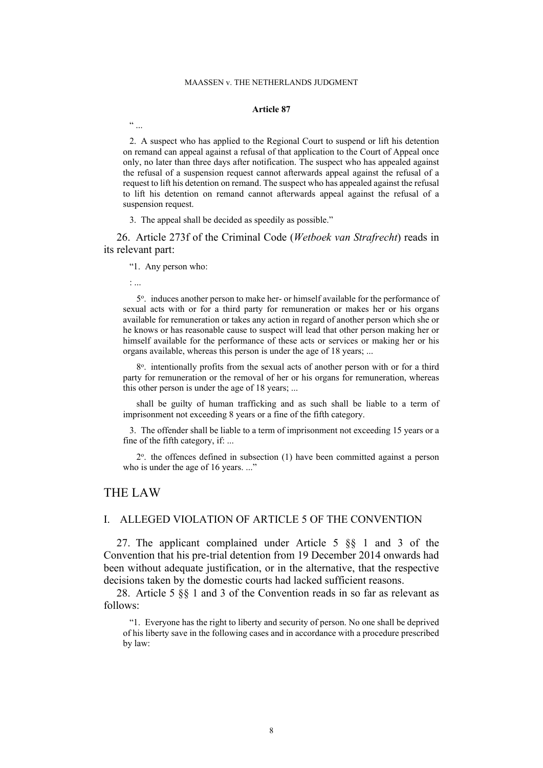#### MAASSEN v. THE NETHERLANDS JUDGMENT

### **Article 87**

2. A suspect who has applied to the Regional Court to suspend or lift his detention on remand can appeal against a refusal of that application to the Court of Appeal once only, no later than three days after notification. The suspect who has appealed against the refusal of a suspension request cannot afterwards appeal against the refusal of a request to lift his detention on remand. The suspect who has appealed against the refusal to lift his detention on remand cannot afterwards appeal against the refusal of a suspension request.

3. The appeal shall be decided as speedily as possible."

<span id="page-9-0"></span>26. Article 273f of the Criminal Code (*Wetboek van Strafrecht*) reads in its relevant part:

"1. Any person who:

: ...

 $\frac{1}{1}$ 

5 o . induces another person to make her- or himself available for the performance of sexual acts with or for a third party for remuneration or makes her or his organs available for remuneration or takes any action in regard of another person which she or he knows or has reasonable cause to suspect will lead that other person making her or himself available for the performance of these acts or services or making her or his organs available, whereas this person is under the age of 18 years; ...

8<sup>o</sup>. intentionally profits from the sexual acts of another person with or for a third party for remuneration or the removal of her or his organs for remuneration, whereas this other person is under the age of 18 years; ...

shall be guilty of human trafficking and as such shall be liable to a term of imprisonment not exceeding 8 years or a fine of the fifth category.

3. The offender shall be liable to a term of imprisonment not exceeding 15 years or a fine of the fifth category, if: ...

2<sup>o</sup>. the offences defined in subsection (1) have been committed against a person who is under the age of 16 years. ..."

# THE LAW

# I. ALLEGED VIOLATION OF ARTICLE 5 OF THE CONVENTION

27. The applicant complained under Article 5 §§ 1 and 3 of the Convention that his pre-trial detention from 19 December 2014 onwards had been without adequate justification, or in the alternative, that the respective decisions taken by the domestic courts had lacked sufficient reasons.

28. Article 5 §§ 1 and 3 of the Convention reads in so far as relevant as follows:

"1. Everyone has the right to liberty and security of person. No one shall be deprived of his liberty save in the following cases and in accordance with a procedure prescribed by law: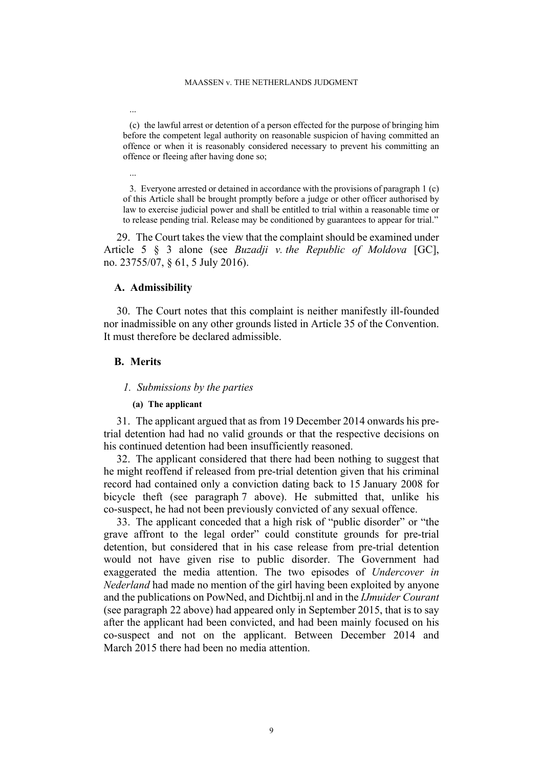(c) the lawful arrest or detention of a person effected for the purpose of bringing him before the competent legal authority on reasonable suspicion of having committed an offence or when it is reasonably considered necessary to prevent his committing an offence or fleeing after having done so;

3. Everyone arrested or detained in accordance with the provisions of paragraph 1 (c) of this Article shall be brought promptly before a judge or other officer authorised by law to exercise judicial power and shall be entitled to trial within a reasonable time or to release pending trial. Release may be conditioned by guarantees to appear for trial."

29. The Court takes the view that the complaint should be examined under Article 5 § 3 alone (see *Buzadji v. the Republic of Moldova* [GC], no. 23755/07, § 61, 5 July 2016).

# **A. Admissibility**

30. The Court notes that this complaint is neither manifestly ill-founded nor inadmissible on any other grounds listed in Article 35 of the Convention. It must therefore be declared admissible.

# **B. Merits**

...

...

# *1. Submissions by the parties*

## **(a) The applicant**

31. The applicant argued that as from 19 December 2014 onwards his pretrial detention had had no valid grounds or that the respective decisions on his continued detention had been insufficiently reasoned.

32. The applicant considered that there had been nothing to suggest that he might reoffend if released from pre-trial detention given that his criminal record had contained only a conviction dating back to 15 January 2008 for bicycle theft (see paragraph [7](#page-3-0) above). He submitted that, unlike his co-suspect, he had not been previously convicted of any sexual offence.

33. The applicant conceded that a high risk of "public disorder" or "the grave affront to the legal order" could constitute grounds for pre-trial detention, but considered that in his case release from pre-trial detention would not have given rise to public disorder. The Government had exaggerated the media attention. The two episodes of *Undercover in Nederland* had made no mention of the girl having been exploited by anyone and the publications on PowNed, and Dichtbij.nl and in the *IJmuider Courant* (see paragraph [22](#page-7-1) above) had appeared only in September 2015, that is to say after the applicant had been convicted, and had been mainly focused on his co-suspect and not on the applicant. Between December 2014 and March 2015 there had been no media attention.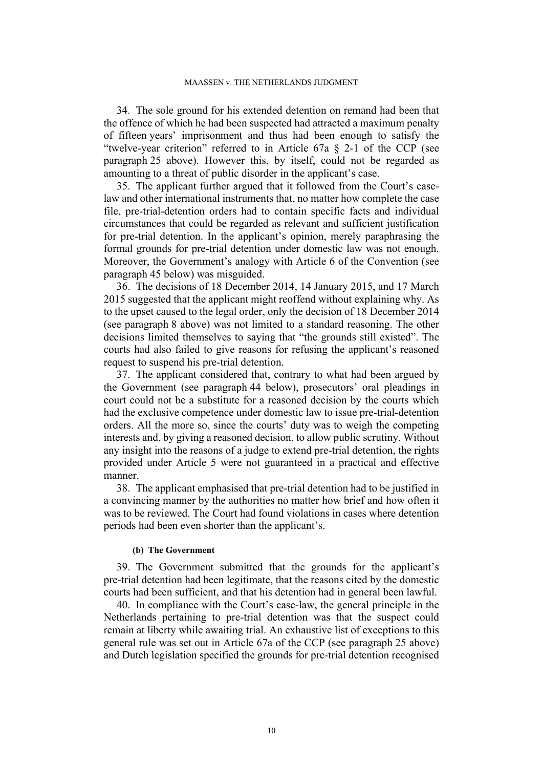34. The sole ground for his extended detention on remand had been that the offence of which he had been suspected had attracted a maximum penalty of fifteen years' imprisonment and thus had been enough to satisfy the "twelve-year criterion" referred to in Article 67a § 2-1 of the CCP (see paragraph [25](#page-7-0) above). However this, by itself, could not be regarded as amounting to a threat of public disorder in the applicant's case.

35. The applicant further argued that it followed from the Court's caselaw and other international instruments that, no matter how complete the case file, pre-trial-detention orders had to contain specific facts and individual circumstances that could be regarded as relevant and sufficient justification for pre-trial detention. In the applicant's opinion, merely paraphrasing the formal grounds for pre-trial detention under domestic law was not enough. Moreover, the Government's analogy with Article 6 of the Convention (see paragraph [45](#page-13-0) below) was misguided.

36. The decisions of 18 December 2014, 14 January 2015, and 17 March 2015 suggested that the applicant might reoffend without explaining why. As to the upset caused to the legal order, only the decision of 18 December 2014 (see paragraph [8](#page-4-1) above) was not limited to a standard reasoning. The other decisions limited themselves to saying that "the grounds still existed". The courts had also failed to give reasons for refusing the applicant's reasoned request to suspend his pre-trial detention.

37. The applicant considered that, contrary to what had been argued by the Government (see paragraph [44](#page-13-1) below), prosecutors' oral pleadings in court could not be a substitute for a reasoned decision by the courts which had the exclusive competence under domestic law to issue pre-trial-detention orders. All the more so, since the courts' duty was to weigh the competing interests and, by giving a reasoned decision, to allow public scrutiny. Without any insight into the reasons of a judge to extend pre-trial detention, the rights provided under Article 5 were not guaranteed in a practical and effective manner.

38. The applicant emphasised that pre-trial detention had to be justified in a convincing manner by the authorities no matter how brief and how often it was to be reviewed. The Court had found violations in cases where detention periods had been even shorter than the applicant's.

#### **(b) The Government**

39. The Government submitted that the grounds for the applicant's pre-trial detention had been legitimate, that the reasons cited by the domestic courts had been sufficient, and that his detention had in general been lawful.

40. In compliance with the Court's case-law, the general principle in the Netherlands pertaining to pre-trial detention was that the suspect could remain at liberty while awaiting trial. An exhaustive list of exceptions to this general rule was set out in Article 67a of the CCP (see paragraph [25](#page-7-0) above) and Dutch legislation specified the grounds for pre-trial detention recognised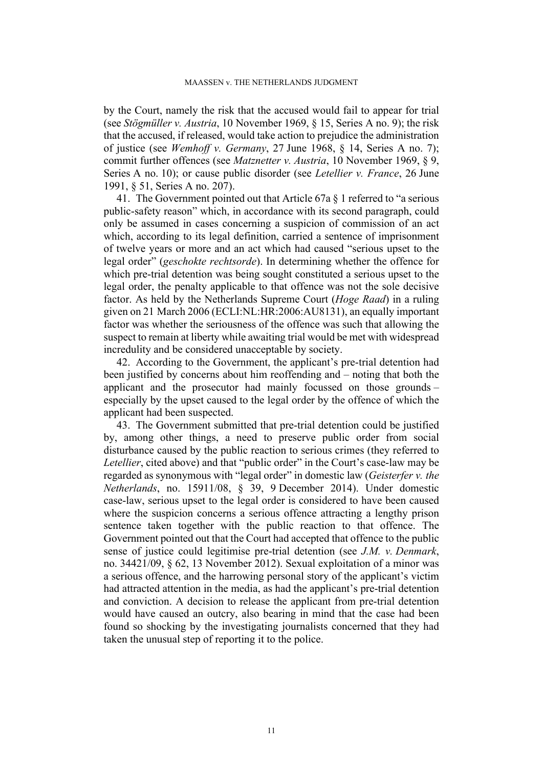by the Court, namely the risk that the accused would fail to appear for trial (see *Stögmüller v. Austria*, 10 November 1969, § 15, Series A no. 9); the risk that the accused, if released, would take action to prejudice the administration of justice (see *Wemhoff v. Germany*, 27 June 1968, § 14, Series A no. 7); commit further offences (see *Matznetter v. Austria*, 10 November 1969, § 9, Series A no. 10); or cause public disorder (see *Letellier v. France*, 26 June 1991, § 51, Series A no. 207).

41. The Government pointed out that Article 67a § 1 referred to "a serious public-safety reason" which, in accordance with its second paragraph, could only be assumed in cases concerning a suspicion of commission of an act which, according to its legal definition, carried a sentence of imprisonment of twelve years or more and an act which had caused "serious upset to the legal order" (*geschokte rechtsorde*). In determining whether the offence for which pre-trial detention was being sought constituted a serious upset to the legal order, the penalty applicable to that offence was not the sole decisive factor. As held by the Netherlands Supreme Court (*Hoge Raad*) in a ruling given on 21 March 2006 (ECLI:NL:HR:2006:AU8131), an equally important factor was whether the seriousness of the offence was such that allowing the suspect to remain at liberty while awaiting trial would be met with widespread incredulity and be considered unacceptable by society.

42. According to the Government, the applicant's pre-trial detention had been justified by concerns about him reoffending and – noting that both the applicant and the prosecutor had mainly focussed on those grounds – especially by the upset caused to the legal order by the offence of which the applicant had been suspected.

43. The Government submitted that pre-trial detention could be justified by, among other things, a need to preserve public order from social disturbance caused by the public reaction to serious crimes (they referred to *Letellier*, cited above) and that "public order" in the Court's case-law may be regarded as synonymous with "legal order" in domestic law (*Geisterfer v. the Netherlands*, no. 15911/08, § 39, 9 December 2014). Under domestic case-law, serious upset to the legal order is considered to have been caused where the suspicion concerns a serious offence attracting a lengthy prison sentence taken together with the public reaction to that offence. The Government pointed out that the Court had accepted that offence to the public sense of justice could legitimise pre-trial detention (see *J.M. v. Denmark*, no. 34421/09, § 62, 13 November 2012). Sexual exploitation of a minor was a serious offence, and the harrowing personal story of the applicant's victim had attracted attention in the media, as had the applicant's pre-trial detention and conviction. A decision to release the applicant from pre-trial detention would have caused an outcry, also bearing in mind that the case had been found so shocking by the investigating journalists concerned that they had taken the unusual step of reporting it to the police.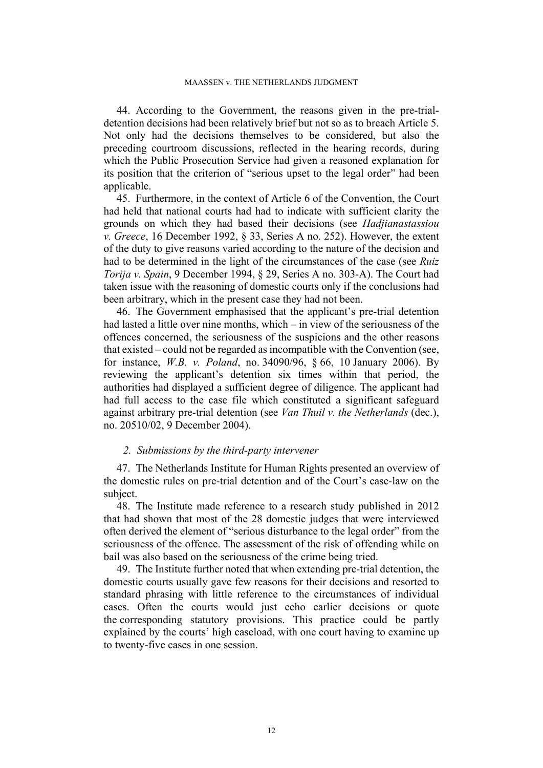<span id="page-13-1"></span>44. According to the Government, the reasons given in the pre-trialdetention decisions had been relatively brief but not so as to breach Article 5. Not only had the decisions themselves to be considered, but also the preceding courtroom discussions, reflected in the hearing records, during which the Public Prosecution Service had given a reasoned explanation for its position that the criterion of "serious upset to the legal order" had been applicable.

<span id="page-13-0"></span>45. Furthermore, in the context of Article 6 of the Convention, the Court had held that national courts had had to indicate with sufficient clarity the grounds on which they had based their decisions (see *Hadjianastassiou v. Greece*, 16 December 1992, § 33, Series A no. 252). However, the extent of the duty to give reasons varied according to the nature of the decision and had to be determined in the light of the circumstances of the case (see *Ruiz Torija v. Spain*, 9 December 1994, § 29, Series A no. 303-A). The Court had taken issue with the reasoning of domestic courts only if the conclusions had been arbitrary, which in the present case they had not been.

46. The Government emphasised that the applicant's pre-trial detention had lasted a little over nine months, which – in view of the seriousness of the offences concerned, the seriousness of the suspicions and the other reasons that existed – could not be regarded as incompatible with the Convention (see, for instance, *W.B. v. Poland*, no. 34090/96, § 66, 10 January 2006). By reviewing the applicant's detention six times within that period, the authorities had displayed a sufficient degree of diligence. The applicant had had full access to the case file which constituted a significant safeguard against arbitrary pre-trial detention (see *Van Thuil v. the Netherlands* (dec.), no. 20510/02, 9 December 2004).

### *2. Submissions by the third-party intervener*

47. The Netherlands Institute for Human Rights presented an overview of the domestic rules on pre-trial detention and of the Court's case-law on the subject.

48. The Institute made reference to a research study published in 2012 that had shown that most of the 28 domestic judges that were interviewed often derived the element of "serious disturbance to the legal order" from the seriousness of the offence. The assessment of the risk of offending while on bail was also based on the seriousness of the crime being tried.

49. The Institute further noted that when extending pre-trial detention, the domestic courts usually gave few reasons for their decisions and resorted to standard phrasing with little reference to the circumstances of individual cases. Often the courts would just echo earlier decisions or quote the corresponding statutory provisions. This practice could be partly explained by the courts' high caseload, with one court having to examine up to twenty-five cases in one session.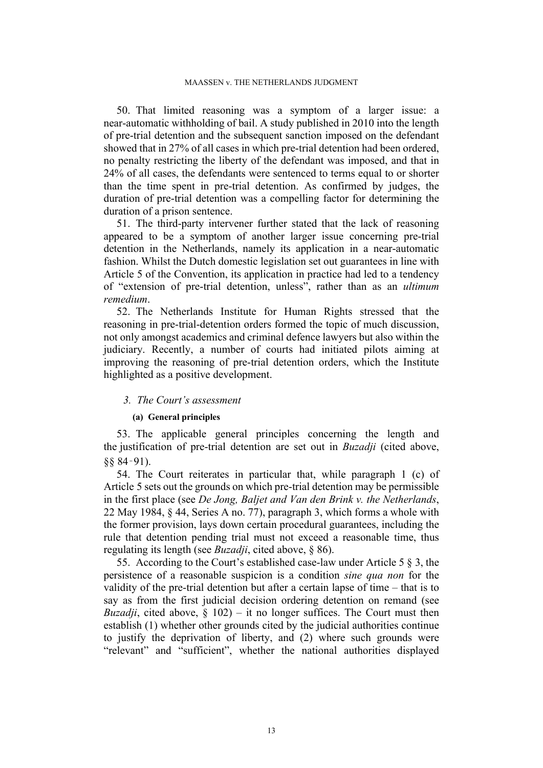50. That limited reasoning was a symptom of a larger issue: a near-automatic withholding of bail. A study published in 2010 into the length of pre-trial detention and the subsequent sanction imposed on the defendant showed that in 27% of all cases in which pre-trial detention had been ordered, no penalty restricting the liberty of the defendant was imposed, and that in 24% of all cases, the defendants were sentenced to terms equal to or shorter than the time spent in pre-trial detention. As confirmed by judges, the duration of pre-trial detention was a compelling factor for determining the duration of a prison sentence.

51. The third-party intervener further stated that the lack of reasoning appeared to be a symptom of another larger issue concerning pre-trial detention in the Netherlands, namely its application in a near-automatic fashion. Whilst the Dutch domestic legislation set out guarantees in line with Article 5 of the Convention, its application in practice had led to a tendency of "extension of pre-trial detention, unless", rather than as an *ultimum remedium*.

52. The Netherlands Institute for Human Rights stressed that the reasoning in pre-trial-detention orders formed the topic of much discussion, not only amongst academics and criminal defence lawyers but also within the judiciary. Recently, a number of courts had initiated pilots aiming at improving the reasoning of pre-trial detention orders, which the Institute highlighted as a positive development.

## *3. The Court's assessment*

### **(a) General principles**

53. The applicable general principles concerning the length and the justification of pre-trial detention are set out in *Buzadji* (cited above, §§ 84‑91).

54. The Court reiterates in particular that, while paragraph 1 (c) of Article 5 sets out the grounds on which pre-trial detention may be permissible in the first place (see *De Jong, Baljet and Van den Brink v. the Netherlands*, 22 May 1984, § 44, Series A no. 77), paragraph 3, which forms a whole with the former provision, lays down certain procedural guarantees, including the rule that detention pending trial must not exceed a reasonable time, thus regulating its length (see *Buzadji*, cited above, § 86).

<span id="page-14-0"></span>55. According to the Court's established case-law under Article 5 § 3, the persistence of a reasonable suspicion is a condition *sine qua non* for the validity of the pre-trial detention but after a certain lapse of time – that is to say as from the first judicial decision ordering detention on remand (see *Buzadji*, cited above,  $\S$  102) – it no longer suffices. The Court must then establish (1) whether other grounds cited by the judicial authorities continue to justify the deprivation of liberty, and (2) where such grounds were "relevant" and "sufficient", whether the national authorities displayed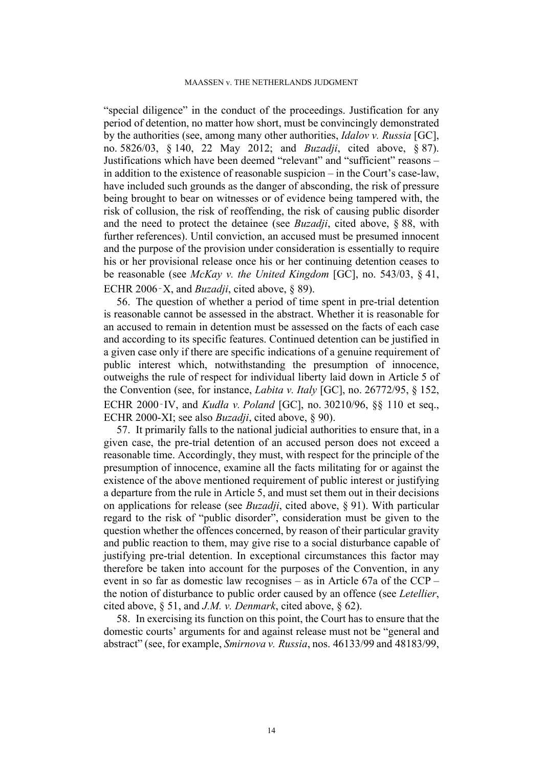#### MAASSEN v. THE NETHERLANDS JUDGMENT

"special diligence" in the conduct of the proceedings. Justification for any period of detention, no matter how short, must be convincingly demonstrated by the authorities (see, among many other authorities, *Idalov v. Russia* [GC], no. 5826/03, § 140, 22 May 2012; and *Buzadji*, cited above, § 87). Justifications which have been deemed "relevant" and "sufficient" reasons – in addition to the existence of reasonable suspicion – in the Court's case-law, have included such grounds as the danger of absconding, the risk of pressure being brought to bear on witnesses or of evidence being tampered with, the risk of collusion, the risk of reoffending, the risk of causing public disorder and the need to protect the detainee (see *Buzadji*, cited above, § 88, with further references). Until conviction, an accused must be presumed innocent and the purpose of the provision under consideration is essentially to require his or her provisional release once his or her continuing detention ceases to be reasonable (see *McKay v. the United Kingdom* [GC], no. 543/03, § 41, ECHR 2006‑X, and *Buzadji*, cited above, § 89).

56. The question of whether a period of time spent in pre-trial detention is reasonable cannot be assessed in the abstract. Whether it is reasonable for an accused to remain in detention must be assessed on the facts of each case and according to its specific features. Continued detention can be justified in a given case only if there are specific indications of a genuine requirement of public interest which, notwithstanding the presumption of innocence, outweighs the rule of respect for individual liberty laid down in Article 5 of the Convention (see, for instance, *Labita v. Italy* [GC], no. 26772/95, § 152, ECHR 2000‑IV, and *Kudła v. Poland* [GC], no. 30210/96, §§ 110 et seq., ECHR 2000-XI; see also *Buzadji*, cited above, § 90).

57. It primarily falls to the national judicial authorities to ensure that, in a given case, the pre-trial detention of an accused person does not exceed a reasonable time. Accordingly, they must, with respect for the principle of the presumption of innocence, examine all the facts militating for or against the existence of the above mentioned requirement of public interest or justifying a departure from the rule in Article 5, and must set them out in their decisions on applications for release (see *Buzadji*, cited above, § 91). With particular regard to the risk of "public disorder", consideration must be given to the question whether the offences concerned, by reason of their particular gravity and public reaction to them, may give rise to a social disturbance capable of justifying pre-trial detention. In exceptional circumstances this factor may therefore be taken into account for the purposes of the Convention, in any event in so far as domestic law recognises – as in Article 67a of the CCP – the notion of disturbance to public order caused by an offence (see *Letellier*, cited above, § 51, and *J.M. v. Denmark*, cited above, § 62).

58. In exercising its function on this point, the Court has to ensure that the domestic courts' arguments for and against release must not be "general and abstract" (see, for example, *Smirnova v. Russia*, nos. 46133/99 and 48183/99,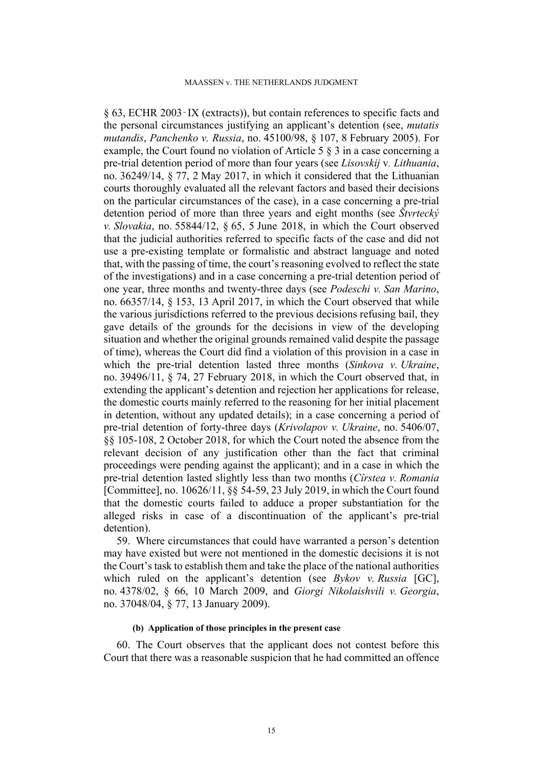§ 63, ECHR 2003‑IX (extracts)), but contain references to specific facts and the personal circumstances justifying an applicant's detention (see, *mutatis mutandis*, *Panchenko v. Russia*, no. 45100/98, § 107, 8 February 2005). For example, the Court found no violation of Article 5 § 3 in a case concerning a pre-trial detention period of more than four years (see *Lisovskij* v*. Lithuania*, no. 36249/14, § 77, 2 May 2017, in which it considered that the Lithuanian courts thoroughly evaluated all the relevant factors and based their decisions on the particular circumstances of the case), in a case concerning a pre-trial detention period of more than three years and eight months (see *Štvrtecký v. Slovakia*, no. 55844/12, § 65, 5 June 2018, in which the Court observed that the judicial authorities referred to specific facts of the case and did not use a pre-existing template or formalistic and abstract language and noted that, with the passing of time, the court's reasoning evolved to reflect the state of the investigations) and in a case concerning a pre-trial detention period of one year, three months and twenty-three days (see *Podeschi v. San Marino*, no. 66357/14, § 153, 13 April 2017, in which the Court observed that while the various jurisdictions referred to the previous decisions refusing bail, they gave details of the grounds for the decisions in view of the developing situation and whether the original grounds remained valid despite the passage of time), whereas the Court did find a violation of this provision in a case in which the pre-trial detention lasted three months (*Sinkova v. Ukraine*, no. 39496/11, § 74, 27 February 2018, in which the Court observed that, in extending the applicant's detention and rejection her applications for release, the domestic courts mainly referred to the reasoning for her initial placement in detention, without any updated details); in a case concerning a period of pre-trial detention of forty-three days (*Krivolapov v. Ukraine*, no. 5406/07, §§ 105-108, 2 October 2018, for which the Court noted the absence from the relevant decision of any justification other than the fact that criminal proceedings were pending against the applicant); and in a case in which the pre-trial detention lasted slightly less than two months (*Cîrstea v. Romania* [Committee], no. 10626/11, §§ 54-59, 23 July 2019, in which the Court found that the domestic courts failed to adduce a proper substantiation for the alleged risks in case of a discontinuation of the applicant's pre-trial detention).

59. Where circumstances that could have warranted a person's detention may have existed but were not mentioned in the domestic decisions it is not the Court's task to establish them and take the place of the national authorities which ruled on the applicant's detention (see *Bykov v. Russia* [GC], no. 4378/02, § 66, 10 March 2009, and *Giorgi Nikolaishvili v. Georgia*, no. 37048/04, § 77, 13 January 2009).

### **(b) Application of those principles in the present case**

60. The Court observes that the applicant does not contest before this Court that there was a reasonable suspicion that he had committed an offence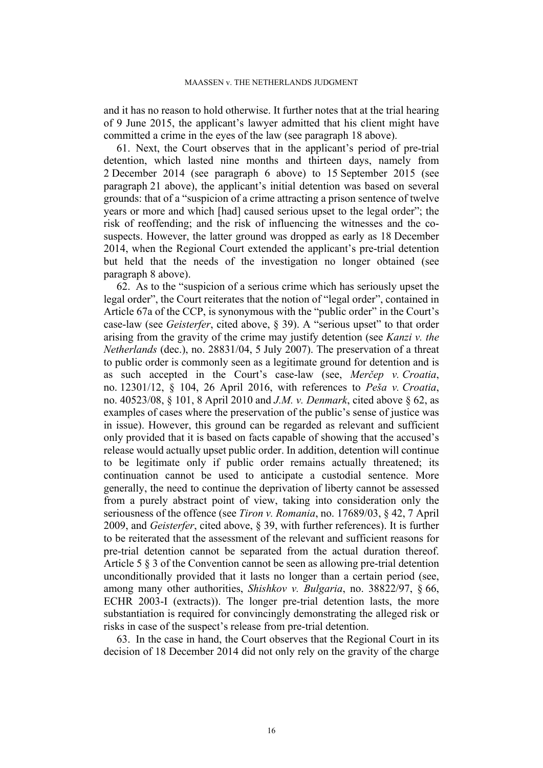and it has no reason to hold otherwise. It further notes that at the trial hearing of 9 June 2015, the applicant's lawyer admitted that his client might have committed a crime in the eyes of the law (see paragraph [18](#page-6-0) above).

61. Next, the Court observes that in the applicant's period of pre-trial detention, which lasted nine months and thirteen days, namely from 2 December 2014 (see paragraph [6](#page-3-2) above) to 15 September 2015 (see paragraph [21](#page-7-2) above), the applicant's initial detention was based on several grounds: that of a "suspicion of a crime attracting a prison sentence of twelve years or more and which [had] caused serious upset to the legal order"; the risk of reoffending; and the risk of influencing the witnesses and the cosuspects. However, the latter ground was dropped as early as 18 December 2014, when the Regional Court extended the applicant's pre-trial detention but held that the needs of the investigation no longer obtained (see paragraph [8](#page-4-1) above).

62. As to the "suspicion of a serious crime which has seriously upset the legal order", the Court reiterates that the notion of "legal order", contained in Article 67a of the CCP, is synonymous with the "public order" in the Court's case-law (see *Geisterfer*, cited above, § 39). A "serious upset" to that order arising from the gravity of the crime may justify detention (see *Kanzi v. the Netherlands* (dec.), no. 28831/04, 5 July 2007). The preservation of a threat to public order is commonly seen as a legitimate ground for detention and is as such accepted in the Court's case-law (see, *Merčep v. Croatia*, no. 12301/12, § 104, 26 April 2016, with references to *Peša v. Croatia*, no. 40523/08, § 101, 8 April 2010 and *J.M. v. Denmark*, cited above § 62, as examples of cases where the preservation of the public's sense of justice was in issue). However, this ground can be regarded as relevant and sufficient only provided that it is based on facts capable of showing that the accused's release would actually upset public order. In addition, detention will continue to be legitimate only if public order remains actually threatened; its continuation cannot be used to anticipate a custodial sentence. More generally, the need to continue the deprivation of liberty cannot be assessed from a purely abstract point of view, taking into consideration only the seriousness of the offence (see *Tiron v. Romania*, no. 17689/03, § 42, 7 April 2009, and *Geisterfer*, cited above, § 39, with further references). It is further to be reiterated that the assessment of the relevant and sufficient reasons for pre-trial detention cannot be separated from the actual duration thereof. Article 5 § 3 of the Convention cannot be seen as allowing pre-trial detention unconditionally provided that it lasts no longer than a certain period (see, among many other authorities, *Shishkov v. Bulgaria*, no. 38822/97, § 66, ECHR 2003-I (extracts)). The longer pre-trial detention lasts, the more substantiation is required for convincingly demonstrating the alleged risk or risks in case of the suspect's release from pre-trial detention.

63. In the case in hand, the Court observes that the Regional Court in its decision of 18 December 2014 did not only rely on the gravity of the charge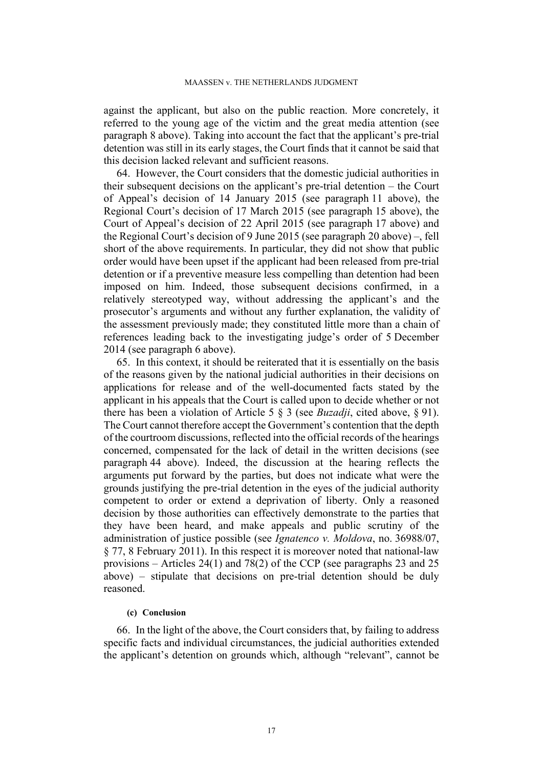against the applicant, but also on the public reaction. More concretely, it referred to the young age of the victim and the great media attention (see paragraph [8](#page-4-1) above). Taking into account the fact that the applicant's pre-trial detention was still in its early stages, the Court finds that it cannot be said that this decision lacked relevant and sufficient reasons.

64. However, the Court considers that the domestic judicial authorities in their subsequent decisions on the applicant's pre-trial detention – the Court of Appeal's decision of 14 January 2015 (see paragraph [11](#page-5-0) above), the Regional Court's decision of 17 March 2015 (see paragraph [15](#page-6-1) above), the Court of Appeal's decision of 22 April 2015 (see paragraph [17](#page-6-2) above) and the Regional Court's decision of 9 June 2015 (see paragraph [20](#page-7-3) above) –, fell short of the above requirements. In particular, they did not show that public order would have been upset if the applicant had been released from pre-trial detention or if a preventive measure less compelling than detention had been imposed on him. Indeed, those subsequent decisions confirmed, in a relatively stereotyped way, without addressing the applicant's and the prosecutor's arguments and without any further explanation, the validity of the assessment previously made; they constituted little more than a chain of references leading back to the investigating judge's order of 5 December 2014 (see paragraph [6](#page-3-2) above).

65. In this context, it should be reiterated that it is essentially on the basis of the reasons given by the national judicial authorities in their decisions on applications for release and of the well-documented facts stated by the applicant in his appeals that the Court is called upon to decide whether or not there has been a violation of Article 5 § 3 (see *Buzadji*, cited above, § 91). The Court cannot therefore accept the Government's contention that the depth of the courtroom discussions, reflected into the official records of the hearings concerned, compensated for the lack of detail in the written decisions (see paragraph [44](#page-13-1) above). Indeed, the discussion at the hearing reflects the arguments put forward by the parties, but does not indicate what were the grounds justifying the pre-trial detention in the eyes of the judicial authority competent to order or extend a deprivation of liberty. Only a reasoned decision by those authorities can effectively demonstrate to the parties that they have been heard, and make appeals and public scrutiny of the administration of justice possible (see *Ignatenco v. Moldova*, no. 36988/07, § 77, 8 February 2011). In this respect it is moreover noted that national-law provisions – Articles 24(1) and 78(2) of the CCP (see paragraphs [23](#page-7-4) and [25](#page-7-0)  above) – stipulate that decisions on pre-trial detention should be duly reasoned.

## **(c) Conclusion**

66. In the light of the above, the Court considers that, by failing to address specific facts and individual circumstances, the judicial authorities extended the applicant's detention on grounds which, although "relevant", cannot be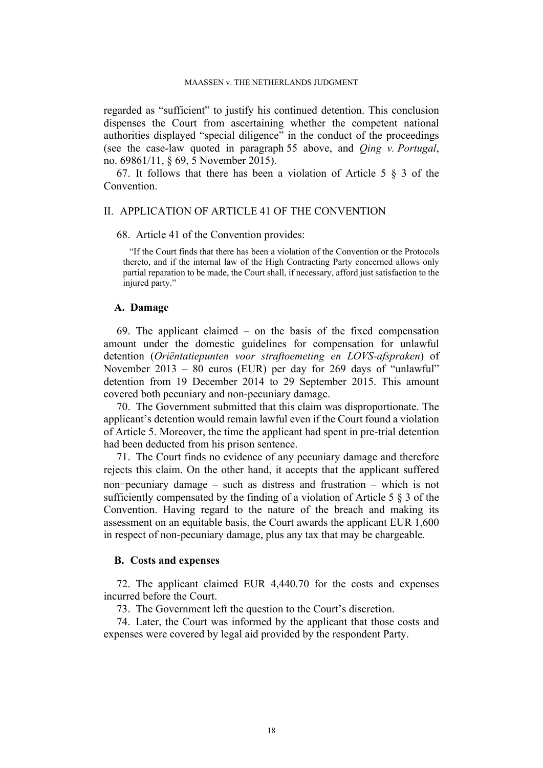regarded as "sufficient" to justify his continued detention. This conclusion dispenses the Court from ascertaining whether the competent national authorities displayed "special diligence" in the conduct of the proceedings (see the case-law quoted in paragraph [55](#page-14-0) above, and *Qing v. Portugal*, no. 69861/11, § 69, 5 November 2015).

67. It follows that there has been a violation of Article 5  $\S$  3 of the Convention.

## II. APPLICATION OF ARTICLE 41 OF THE CONVENTION

68. Article 41 of the Convention provides:

"If the Court finds that there has been a violation of the Convention or the Protocols thereto, and if the internal law of the High Contracting Party concerned allows only partial reparation to be made, the Court shall, if necessary, afford just satisfaction to the injured party."

# **A. Damage**

69. The applicant claimed – on the basis of the fixed compensation amount under the domestic guidelines for compensation for unlawful detention (*Oriëntatiepunten voor straftoemeting en LOVS-afspraken*) of November 2013 – 80 euros (EUR) per day for 269 days of "unlawful" detention from 19 December 2014 to 29 September 2015. This amount covered both pecuniary and non-pecuniary damage.

70. The Government submitted that this claim was disproportionate. The applicant's detention would remain lawful even if the Court found a violation of Article 5. Moreover, the time the applicant had spent in pre-trial detention had been deducted from his prison sentence.

71. The Court finds no evidence of any pecuniary damage and therefore rejects this claim. On the other hand, it accepts that the applicant suffered non-pecuniary damage – such as distress and frustration – which is not sufficiently compensated by the finding of a violation of Article 5 § 3 of the Convention. Having regard to the nature of the breach and making its assessment on an equitable basis, the Court awards the applicant EUR 1,600 in respect of non-pecuniary damage, plus any tax that may be chargeable.

## **B. Costs and expenses**

72. The applicant claimed EUR 4,440.70 for the costs and expenses incurred before the Court.

73. The Government left the question to the Court's discretion.

74. Later, the Court was informed by the applicant that those costs and expenses were covered by legal aid provided by the respondent Party.